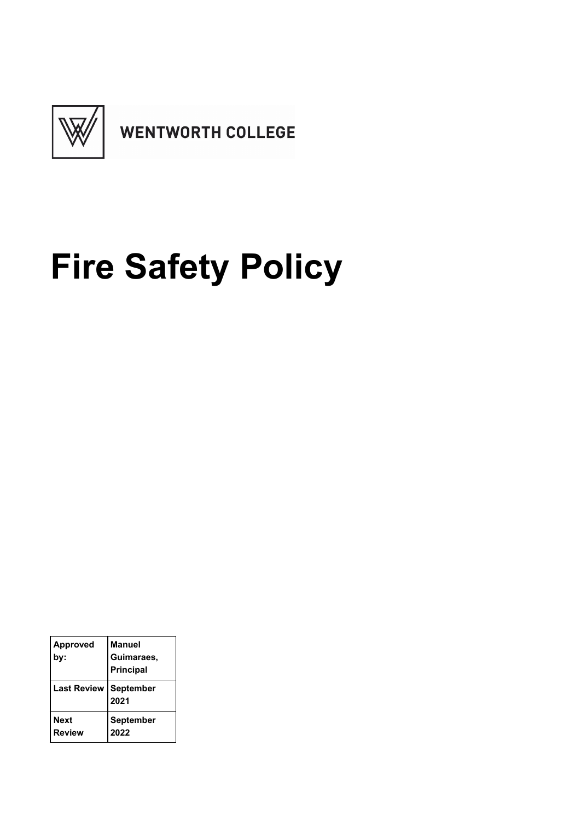

# **Fire Safety Policy**

| <b>Approved</b><br>bv:       | <b>Manuel</b><br>Guimaraes,<br><b>Principal</b> |
|------------------------------|-------------------------------------------------|
| <b>Last Review</b>           | September<br>2021                               |
| <b>Next</b><br><b>Review</b> | <b>September</b><br>2022                        |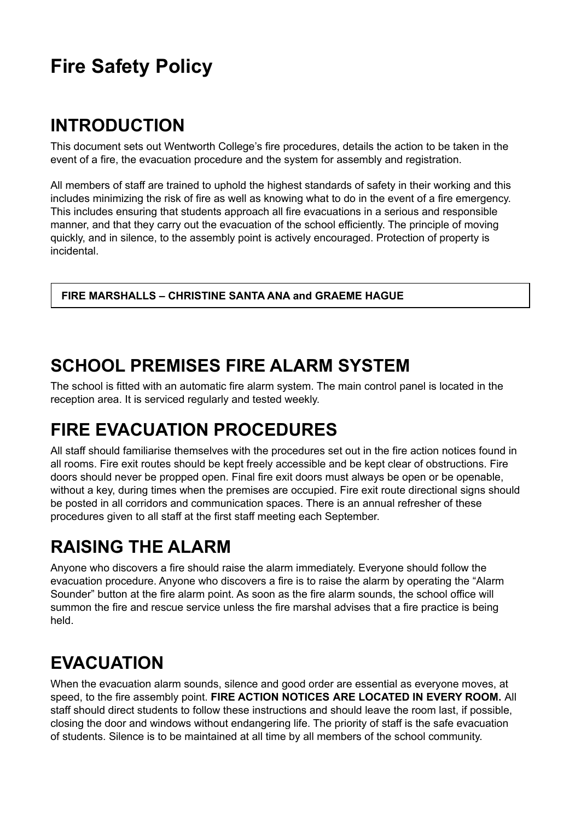## **Fire Safety Policy**

#### **INTRODUCTION**

This document sets out Wentworth College's fire procedures, details the action to be taken in the event of a fire, the evacuation procedure and the system for assembly and registration.

All members of staff are trained to uphold the highest standards of safety in their working and this includes minimizing the risk of fire as well as knowing what to do in the event of a fire emergency. This includes ensuring that students approach all fire evacuations in a serious and responsible manner, and that they carry out the evacuation of the school efficiently. The principle of moving quickly, and in silence, to the assembly point is actively encouraged. Protection of property is incidental.

**FIRE MARSHALLS – CHRISTINE SANTA ANA and GRAEME HAGUE**

#### **SCHOOL PREMISES FIRE ALARM SYSTEM**

The school is fitted with an automatic fire alarm system. The main control panel is located in the reception area. It is serviced regularly and tested weekly.

#### **FIRE EVACUATION PROCEDURES**

All staff should familiarise themselves with the procedures set out in the fire action notices found in all rooms. Fire exit routes should be kept freely accessible and be kept clear of obstructions. Fire doors should never be propped open. Final fire exit doors must always be open or be openable, without a key, during times when the premises are occupied. Fire exit route directional signs should be posted in all corridors and communication spaces. There is an annual refresher of these procedures given to all staff at the first staff meeting each September.

#### **RAISING THE ALARM**

Anyone who discovers a fire should raise the alarm immediately. Everyone should follow the evacuation procedure. Anyone who discovers a fire is to raise the alarm by operating the "Alarm Sounder" button at the fire alarm point. As soon as the fire alarm sounds, the school office will summon the fire and rescue service unless the fire marshal advises that a fire practice is being held.

## **EVACUATION**

When the evacuation alarm sounds, silence and good order are essential as everyone moves, at speed, to the fire assembly point. **FIRE ACTION NOTICES ARE LOCATED IN EVERY ROOM.** All staff should direct students to follow these instructions and should leave the room last, if possible, closing the door and windows without endangering life. The priority of staff is the safe evacuation of students. Silence is to be maintained at all time by all members of the school community.